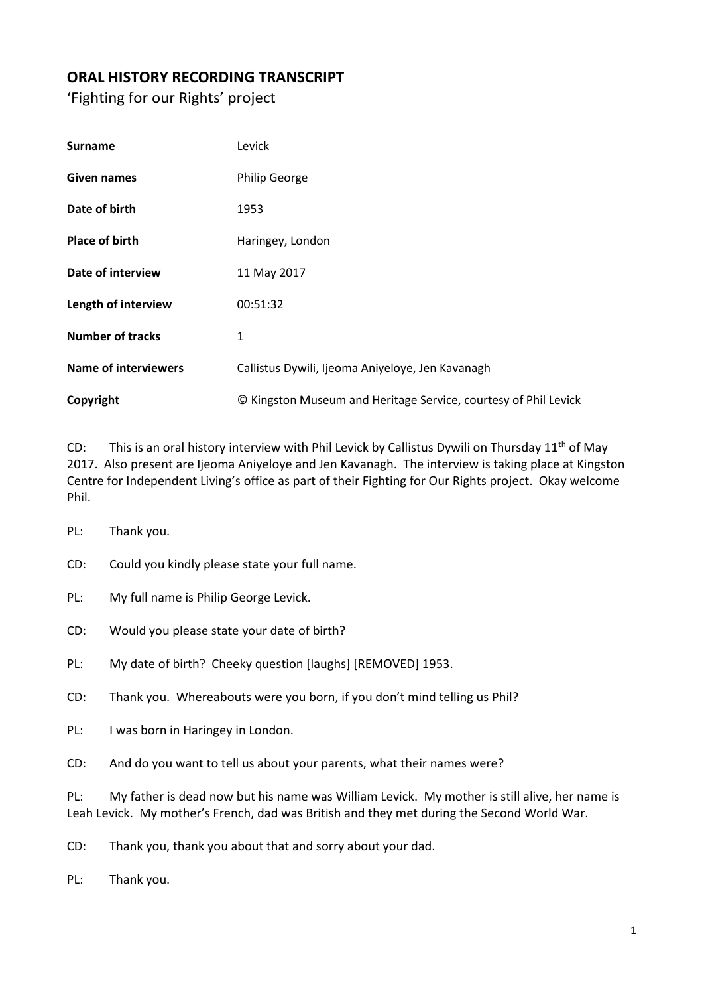## **ORAL HISTORY RECORDING TRANSCRIPT**

'Fighting for our Rights' project

| <b>Surname</b>              | Levick                                                          |
|-----------------------------|-----------------------------------------------------------------|
| Given names                 | <b>Philip George</b>                                            |
| Date of birth               | 1953                                                            |
| <b>Place of birth</b>       | Haringey, London                                                |
| Date of interview           | 11 May 2017                                                     |
| Length of interview         | 00:51:32                                                        |
| <b>Number of tracks</b>     | 1                                                               |
| <b>Name of interviewers</b> | Callistus Dywili, Ijeoma Aniyeloye, Jen Kavanagh                |
| Copyright                   | © Kingston Museum and Heritage Service, courtesy of Phil Levick |

CD: This is an oral history interview with Phil Levick by Callistus Dywili on Thursday  $11<sup>th</sup>$  of May 2017. Also present are Ijeoma Aniyeloye and Jen Kavanagh. The interview is taking place at Kingston Centre for Independent Living's office as part of their Fighting for Our Rights project. Okay welcome Phil.

- PL: Thank you.
- CD: Could you kindly please state your full name.
- PL: My full name is Philip George Levick.
- CD: Would you please state your date of birth?
- PL: My date of birth? Cheeky question [laughs] [REMOVED] 1953.
- CD: Thank you. Whereabouts were you born, if you don't mind telling us Phil?
- PL: I was born in Haringey in London.
- CD: And do you want to tell us about your parents, what their names were?

PL: My father is dead now but his name was William Levick. My mother is still alive, her name is Leah Levick. My mother's French, dad was British and they met during the Second World War.

- CD: Thank you, thank you about that and sorry about your dad.
- PL: Thank you.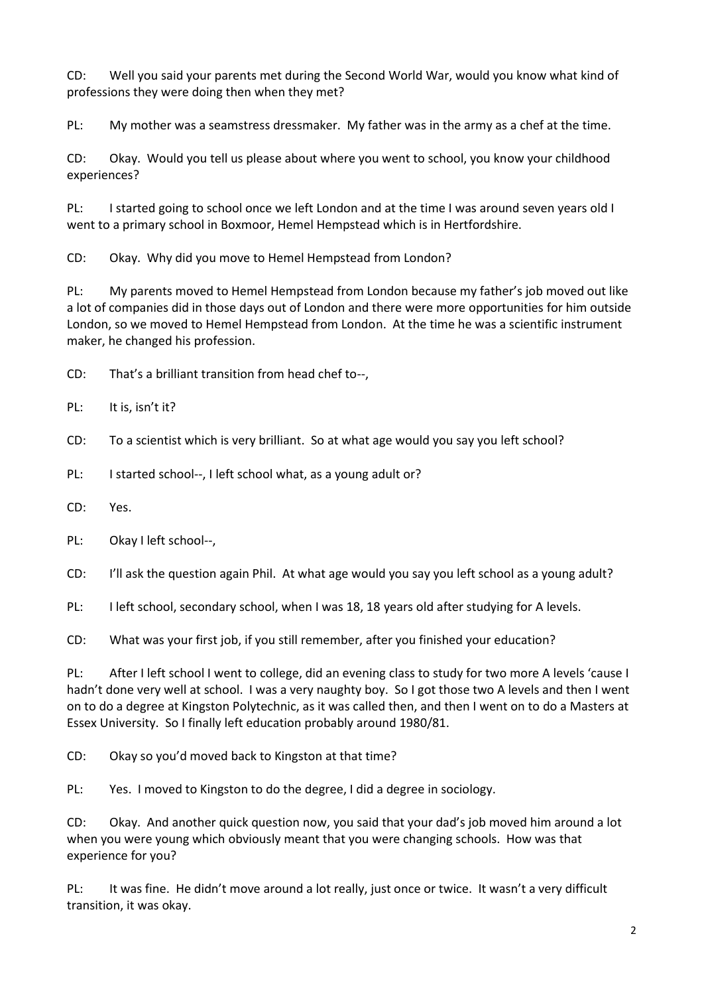CD: Well you said your parents met during the Second World War, would you know what kind of professions they were doing then when they met?

PL: My mother was a seamstress dressmaker. My father was in the army as a chef at the time.

CD: Okay. Would you tell us please about where you went to school, you know your childhood experiences?

PL: I started going to school once we left London and at the time I was around seven years old I went to a primary school in Boxmoor, Hemel Hempstead which is in Hertfordshire.

CD: Okay. Why did you move to Hemel Hempstead from London?

PL: My parents moved to Hemel Hempstead from London because my father's job moved out like a lot of companies did in those days out of London and there were more opportunities for him outside London, so we moved to Hemel Hempstead from London. At the time he was a scientific instrument maker, he changed his profession.

CD: That's a brilliant transition from head chef to--,

PL: It is, isn't it?

CD: To a scientist which is very brilliant. So at what age would you say you left school?

PL: I started school--, I left school what, as a young adult or?

CD: Yes.

PL: Okay I left school--,

CD: I'll ask the question again Phil. At what age would you say you left school as a young adult?

PL: I left school, secondary school, when I was 18, 18 years old after studying for A levels.

CD: What was your first job, if you still remember, after you finished your education?

PL: After I left school I went to college, did an evening class to study for two more A levels 'cause I hadn't done very well at school. I was a very naughty boy. So I got those two A levels and then I went on to do a degree at Kingston Polytechnic, as it was called then, and then I went on to do a Masters at Essex University. So I finally left education probably around 1980/81.

CD: Okay so you'd moved back to Kingston at that time?

PL: Yes. I moved to Kingston to do the degree, I did a degree in sociology.

CD: Okay. And another quick question now, you said that your dad's job moved him around a lot when you were young which obviously meant that you were changing schools. How was that experience for you?

PL: It was fine. He didn't move around a lot really, just once or twice. It wasn't a very difficult transition, it was okay.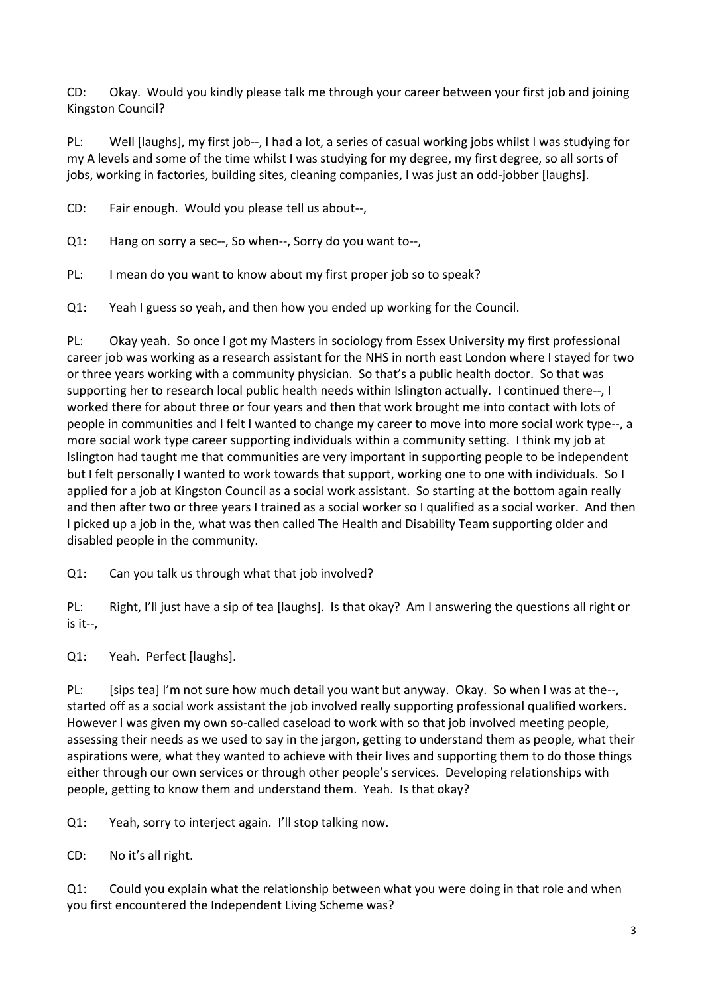CD: Okay. Would you kindly please talk me through your career between your first job and joining Kingston Council?

PL: Well [laughs], my first job--, I had a lot, a series of casual working jobs whilst I was studying for my A levels and some of the time whilst I was studying for my degree, my first degree, so all sorts of jobs, working in factories, building sites, cleaning companies, I was just an odd-jobber [laughs].

CD: Fair enough. Would you please tell us about--,

Q1: Hang on sorry a sec--, So when--, Sorry do you want to--,

PL: I mean do you want to know about my first proper job so to speak?

Q1: Yeah I guess so yeah, and then how you ended up working for the Council.

PL: Okay yeah. So once I got my Masters in sociology from Essex University my first professional career job was working as a research assistant for the NHS in north east London where I stayed for two or three years working with a community physician. So that's a public health doctor. So that was supporting her to research local public health needs within Islington actually. I continued there--, I worked there for about three or four years and then that work brought me into contact with lots of people in communities and I felt I wanted to change my career to move into more social work type--, a more social work type career supporting individuals within a community setting. I think my job at Islington had taught me that communities are very important in supporting people to be independent but I felt personally I wanted to work towards that support, working one to one with individuals. So I applied for a job at Kingston Council as a social work assistant. So starting at the bottom again really and then after two or three years I trained as a social worker so I qualified as a social worker. And then I picked up a job in the, what was then called The Health and Disability Team supporting older and disabled people in the community.

Q1: Can you talk us through what that job involved?

PL: Right, I'll just have a sip of tea [laughs]. Is that okay? Am I answering the questions all right or is it--,

Q1: Yeah. Perfect [laughs].

PL: [sips tea] I'm not sure how much detail you want but anyway. Okay. So when I was at the--, started off as a social work assistant the job involved really supporting professional qualified workers. However I was given my own so-called caseload to work with so that job involved meeting people, assessing their needs as we used to say in the jargon, getting to understand them as people, what their aspirations were, what they wanted to achieve with their lives and supporting them to do those things either through our own services or through other people's services. Developing relationships with people, getting to know them and understand them. Yeah. Is that okay?

Q1: Yeah, sorry to interject again. I'll stop talking now.

CD: No it's all right.

Q1: Could you explain what the relationship between what you were doing in that role and when you first encountered the Independent Living Scheme was?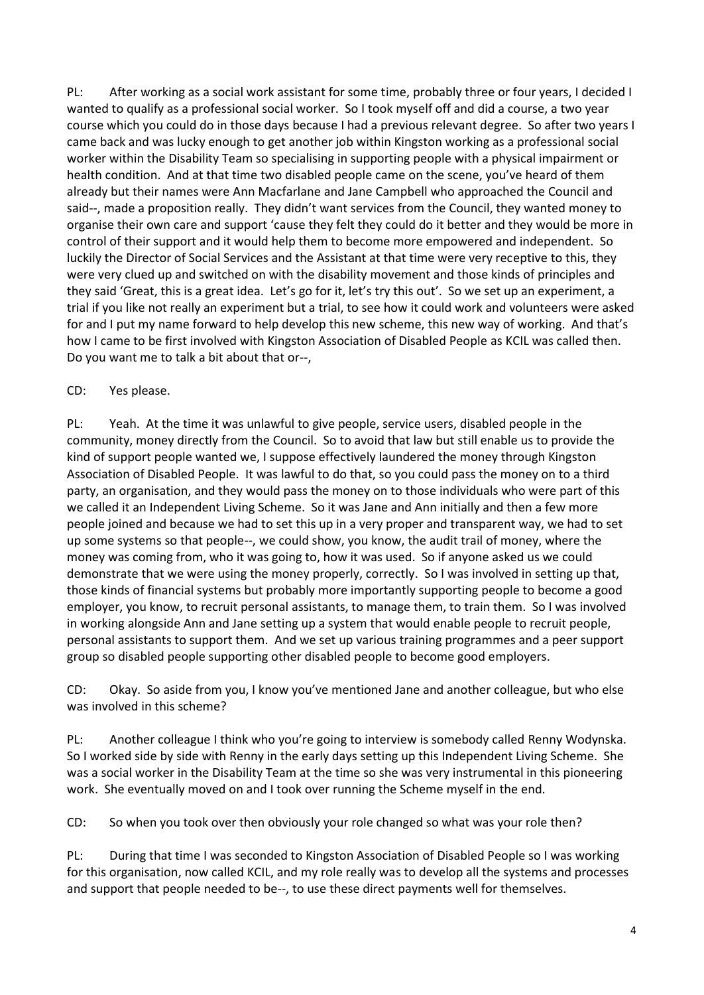PL: After working as a social work assistant for some time, probably three or four years, I decided I wanted to qualify as a professional social worker. So I took myself off and did a course, a two year course which you could do in those days because I had a previous relevant degree. So after two years I came back and was lucky enough to get another job within Kingston working as a professional social worker within the Disability Team so specialising in supporting people with a physical impairment or health condition. And at that time two disabled people came on the scene, you've heard of them already but their names were Ann Macfarlane and Jane Campbell who approached the Council and said--, made a proposition really. They didn't want services from the Council, they wanted money to organise their own care and support 'cause they felt they could do it better and they would be more in control of their support and it would help them to become more empowered and independent. So luckily the Director of Social Services and the Assistant at that time were very receptive to this, they were very clued up and switched on with the disability movement and those kinds of principles and they said 'Great, this is a great idea. Let's go for it, let's try this out'. So we set up an experiment, a trial if you like not really an experiment but a trial, to see how it could work and volunteers were asked for and I put my name forward to help develop this new scheme, this new way of working. And that's how I came to be first involved with Kingston Association of Disabled People as KCIL was called then. Do you want me to talk a bit about that or--,

## CD: Yes please.

PL: Yeah. At the time it was unlawful to give people, service users, disabled people in the community, money directly from the Council. So to avoid that law but still enable us to provide the kind of support people wanted we, I suppose effectively laundered the money through Kingston Association of Disabled People. It was lawful to do that, so you could pass the money on to a third party, an organisation, and they would pass the money on to those individuals who were part of this we called it an Independent Living Scheme. So it was Jane and Ann initially and then a few more people joined and because we had to set this up in a very proper and transparent way, we had to set up some systems so that people--, we could show, you know, the audit trail of money, where the money was coming from, who it was going to, how it was used. So if anyone asked us we could demonstrate that we were using the money properly, correctly. So I was involved in setting up that, those kinds of financial systems but probably more importantly supporting people to become a good employer, you know, to recruit personal assistants, to manage them, to train them. So I was involved in working alongside Ann and Jane setting up a system that would enable people to recruit people, personal assistants to support them. And we set up various training programmes and a peer support group so disabled people supporting other disabled people to become good employers.

CD: Okay. So aside from you, I know you've mentioned Jane and another colleague, but who else was involved in this scheme?

PL: Another colleague I think who you're going to interview is somebody called Renny Wodynska. So I worked side by side with Renny in the early days setting up this Independent Living Scheme. She was a social worker in the Disability Team at the time so she was very instrumental in this pioneering work. She eventually moved on and I took over running the Scheme myself in the end.

CD: So when you took over then obviously your role changed so what was your role then?

PL: During that time I was seconded to Kingston Association of Disabled People so I was working for this organisation, now called KCIL, and my role really was to develop all the systems and processes and support that people needed to be--, to use these direct payments well for themselves.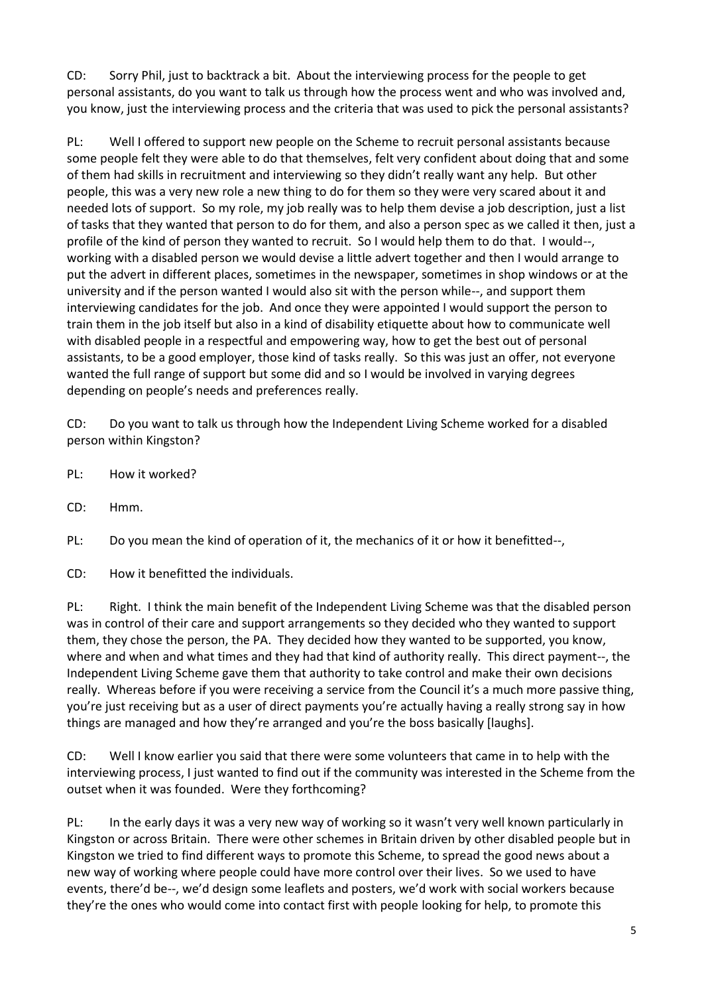CD: Sorry Phil, just to backtrack a bit. About the interviewing process for the people to get personal assistants, do you want to talk us through how the process went and who was involved and, you know, just the interviewing process and the criteria that was used to pick the personal assistants?

PL: Well I offered to support new people on the Scheme to recruit personal assistants because some people felt they were able to do that themselves, felt very confident about doing that and some of them had skills in recruitment and interviewing so they didn't really want any help. But other people, this was a very new role a new thing to do for them so they were very scared about it and needed lots of support. So my role, my job really was to help them devise a job description, just a list of tasks that they wanted that person to do for them, and also a person spec as we called it then, just a profile of the kind of person they wanted to recruit. So I would help them to do that. I would--, working with a disabled person we would devise a little advert together and then I would arrange to put the advert in different places, sometimes in the newspaper, sometimes in shop windows or at the university and if the person wanted I would also sit with the person while--, and support them interviewing candidates for the job. And once they were appointed I would support the person to train them in the job itself but also in a kind of disability etiquette about how to communicate well with disabled people in a respectful and empowering way, how to get the best out of personal assistants, to be a good employer, those kind of tasks really. So this was just an offer, not everyone wanted the full range of support but some did and so I would be involved in varying degrees depending on people's needs and preferences really.

CD: Do you want to talk us through how the Independent Living Scheme worked for a disabled person within Kingston?

- PL: How it worked?
- CD: Hmm.

PL: Do you mean the kind of operation of it, the mechanics of it or how it benefitted--,

CD: How it benefitted the individuals.

PL: Right. I think the main benefit of the Independent Living Scheme was that the disabled person was in control of their care and support arrangements so they decided who they wanted to support them, they chose the person, the PA. They decided how they wanted to be supported, you know, where and when and what times and they had that kind of authority really. This direct payment--, the Independent Living Scheme gave them that authority to take control and make their own decisions really. Whereas before if you were receiving a service from the Council it's a much more passive thing, you're just receiving but as a user of direct payments you're actually having a really strong say in how things are managed and how they're arranged and you're the boss basically [laughs].

CD: Well I know earlier you said that there were some volunteers that came in to help with the interviewing process, I just wanted to find out if the community was interested in the Scheme from the outset when it was founded. Were they forthcoming?

PL: In the early days it was a very new way of working so it wasn't very well known particularly in Kingston or across Britain. There were other schemes in Britain driven by other disabled people but in Kingston we tried to find different ways to promote this Scheme, to spread the good news about a new way of working where people could have more control over their lives. So we used to have events, there'd be--, we'd design some leaflets and posters, we'd work with social workers because they're the ones who would come into contact first with people looking for help, to promote this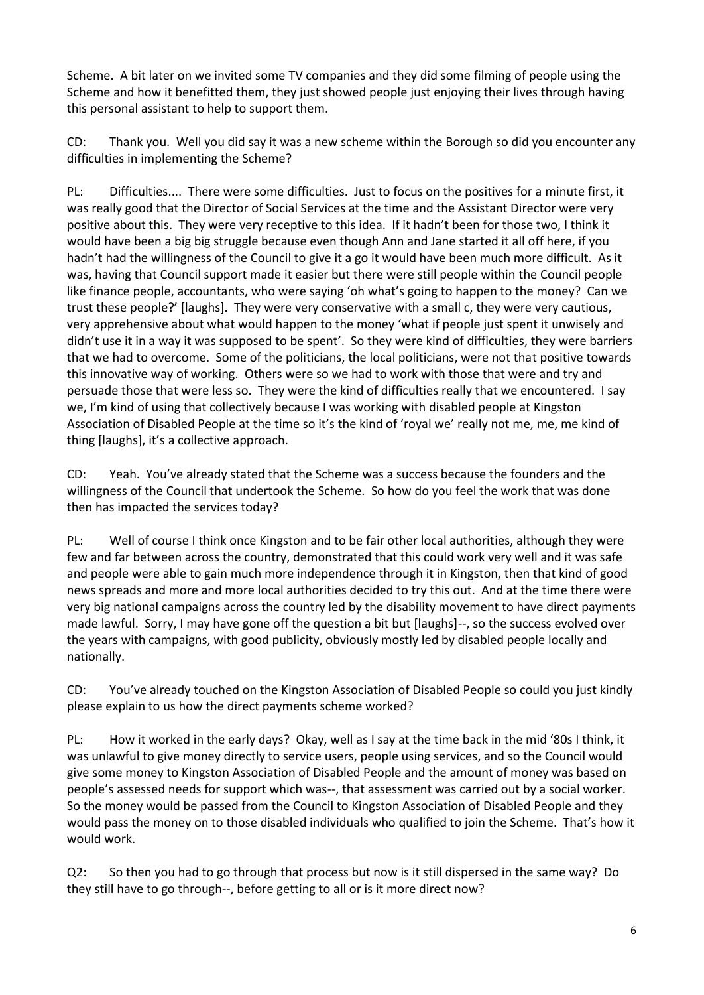Scheme. A bit later on we invited some TV companies and they did some filming of people using the Scheme and how it benefitted them, they just showed people just enjoying their lives through having this personal assistant to help to support them.

CD: Thank you. Well you did say it was a new scheme within the Borough so did you encounter any difficulties in implementing the Scheme?

PL: Difficulties.... There were some difficulties. Just to focus on the positives for a minute first, it was really good that the Director of Social Services at the time and the Assistant Director were very positive about this. They were very receptive to this idea. If it hadn't been for those two, I think it would have been a big big struggle because even though Ann and Jane started it all off here, if you hadn't had the willingness of the Council to give it a go it would have been much more difficult. As it was, having that Council support made it easier but there were still people within the Council people like finance people, accountants, who were saying 'oh what's going to happen to the money? Can we trust these people?' [laughs]. They were very conservative with a small c, they were very cautious, very apprehensive about what would happen to the money 'what if people just spent it unwisely and didn't use it in a way it was supposed to be spent'. So they were kind of difficulties, they were barriers that we had to overcome. Some of the politicians, the local politicians, were not that positive towards this innovative way of working. Others were so we had to work with those that were and try and persuade those that were less so. They were the kind of difficulties really that we encountered. I say we, I'm kind of using that collectively because I was working with disabled people at Kingston Association of Disabled People at the time so it's the kind of 'royal we' really not me, me, me kind of thing [laughs], it's a collective approach.

CD: Yeah. You've already stated that the Scheme was a success because the founders and the willingness of the Council that undertook the Scheme. So how do you feel the work that was done then has impacted the services today?

PL: Well of course I think once Kingston and to be fair other local authorities, although they were few and far between across the country, demonstrated that this could work very well and it was safe and people were able to gain much more independence through it in Kingston, then that kind of good news spreads and more and more local authorities decided to try this out. And at the time there were very big national campaigns across the country led by the disability movement to have direct payments made lawful. Sorry, I may have gone off the question a bit but [laughs]--, so the success evolved over the years with campaigns, with good publicity, obviously mostly led by disabled people locally and nationally.

CD: You've already touched on the Kingston Association of Disabled People so could you just kindly please explain to us how the direct payments scheme worked?

PL: How it worked in the early days? Okay, well as I say at the time back in the mid '80s I think, it was unlawful to give money directly to service users, people using services, and so the Council would give some money to Kingston Association of Disabled People and the amount of money was based on people's assessed needs for support which was--, that assessment was carried out by a social worker. So the money would be passed from the Council to Kingston Association of Disabled People and they would pass the money on to those disabled individuals who qualified to join the Scheme. That's how it would work.

Q2: So then you had to go through that process but now is it still dispersed in the same way? Do they still have to go through--, before getting to all or is it more direct now?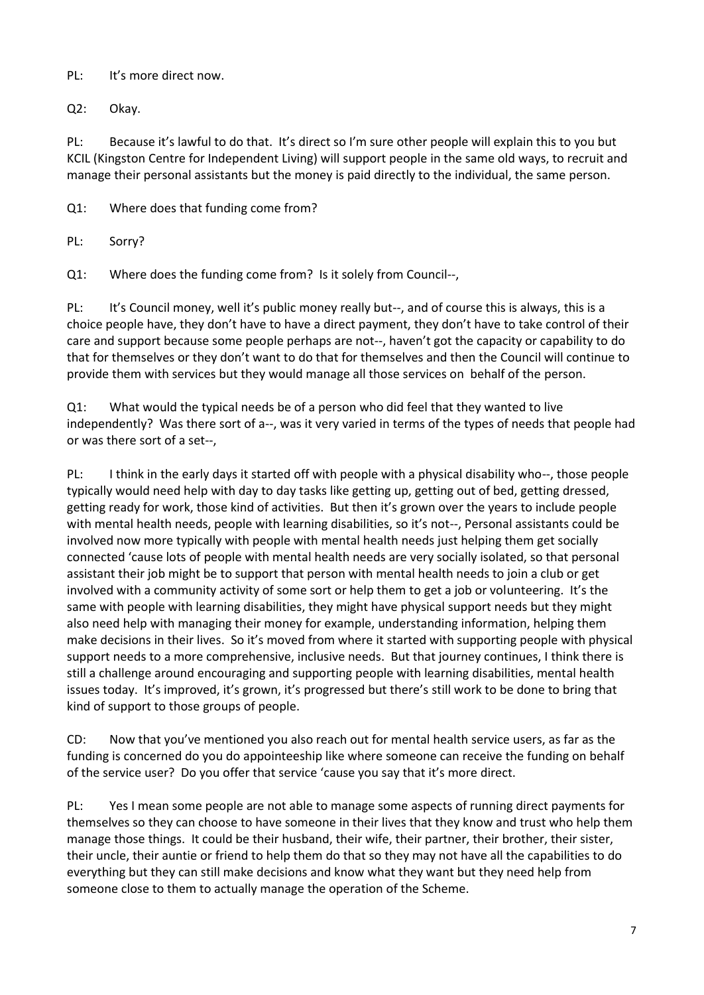PL: It's more direct now.

Q2: Okay.

PL: Because it's lawful to do that. It's direct so I'm sure other people will explain this to you but KCIL (Kingston Centre for Independent Living) will support people in the same old ways, to recruit and manage their personal assistants but the money is paid directly to the individual, the same person.

Q1: Where does that funding come from?

PL: Sorry?

Q1: Where does the funding come from? Is it solely from Council--,

PL: It's Council money, well it's public money really but--, and of course this is always, this is a choice people have, they don't have to have a direct payment, they don't have to take control of their care and support because some people perhaps are not--, haven't got the capacity or capability to do that for themselves or they don't want to do that for themselves and then the Council will continue to provide them with services but they would manage all those services on behalf of the person.

Q1: What would the typical needs be of a person who did feel that they wanted to live independently? Was there sort of a--, was it very varied in terms of the types of needs that people had or was there sort of a set--,

PL: I think in the early days it started off with people with a physical disability who--, those people typically would need help with day to day tasks like getting up, getting out of bed, getting dressed, getting ready for work, those kind of activities. But then it's grown over the years to include people with mental health needs, people with learning disabilities, so it's not--, Personal assistants could be involved now more typically with people with mental health needs just helping them get socially connected 'cause lots of people with mental health needs are very socially isolated, so that personal assistant their job might be to support that person with mental health needs to join a club or get involved with a community activity of some sort or help them to get a job or volunteering. It's the same with people with learning disabilities, they might have physical support needs but they might also need help with managing their money for example, understanding information, helping them make decisions in their lives. So it's moved from where it started with supporting people with physical support needs to a more comprehensive, inclusive needs. But that journey continues, I think there is still a challenge around encouraging and supporting people with learning disabilities, mental health issues today. It's improved, it's grown, it's progressed but there's still work to be done to bring that kind of support to those groups of people.

CD: Now that you've mentioned you also reach out for mental health service users, as far as the funding is concerned do you do appointeeship like where someone can receive the funding on behalf of the service user? Do you offer that service 'cause you say that it's more direct.

PL: Yes I mean some people are not able to manage some aspects of running direct payments for themselves so they can choose to have someone in their lives that they know and trust who help them manage those things. It could be their husband, their wife, their partner, their brother, their sister, their uncle, their auntie or friend to help them do that so they may not have all the capabilities to do everything but they can still make decisions and know what they want but they need help from someone close to them to actually manage the operation of the Scheme.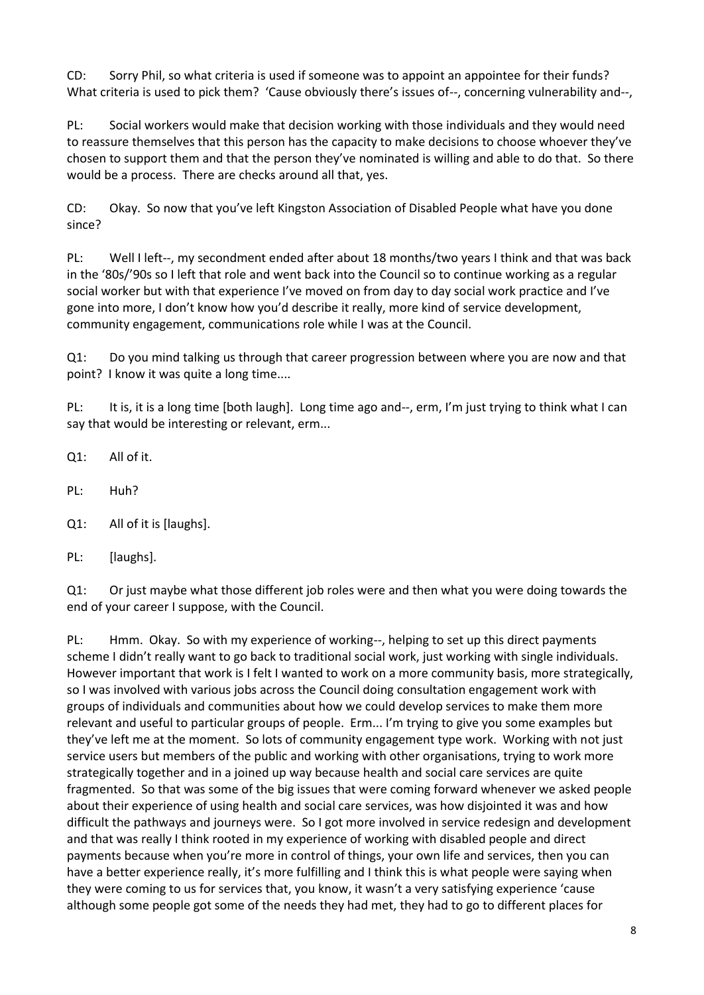CD: Sorry Phil, so what criteria is used if someone was to appoint an appointee for their funds? What criteria is used to pick them? 'Cause obviously there's issues of--, concerning vulnerability and--,

PL: Social workers would make that decision working with those individuals and they would need to reassure themselves that this person has the capacity to make decisions to choose whoever they've chosen to support them and that the person they've nominated is willing and able to do that. So there would be a process. There are checks around all that, yes.

CD: Okay. So now that you've left Kingston Association of Disabled People what have you done since?

PL: Well I left--, my secondment ended after about 18 months/two years I think and that was back in the '80s/'90s so I left that role and went back into the Council so to continue working as a regular social worker but with that experience I've moved on from day to day social work practice and I've gone into more, I don't know how you'd describe it really, more kind of service development, community engagement, communications role while I was at the Council.

Q1: Do you mind talking us through that career progression between where you are now and that point? I know it was quite a long time....

PL: It is, it is a long time [both laugh]. Long time ago and--, erm, I'm just trying to think what I can say that would be interesting or relevant, erm...

- Q1: All of it.
- PL: Huh?
- Q1: All of it is [laughs].
- PL: [laughs].

Q1: Or just maybe what those different job roles were and then what you were doing towards the end of your career I suppose, with the Council.

PL: Hmm. Okay. So with my experience of working--, helping to set up this direct payments scheme I didn't really want to go back to traditional social work, just working with single individuals. However important that work is I felt I wanted to work on a more community basis, more strategically, so I was involved with various jobs across the Council doing consultation engagement work with groups of individuals and communities about how we could develop services to make them more relevant and useful to particular groups of people. Erm... I'm trying to give you some examples but they've left me at the moment. So lots of community engagement type work. Working with not just service users but members of the public and working with other organisations, trying to work more strategically together and in a joined up way because health and social care services are quite fragmented. So that was some of the big issues that were coming forward whenever we asked people about their experience of using health and social care services, was how disjointed it was and how difficult the pathways and journeys were. So I got more involved in service redesign and development and that was really I think rooted in my experience of working with disabled people and direct payments because when you're more in control of things, your own life and services, then you can have a better experience really, it's more fulfilling and I think this is what people were saying when they were coming to us for services that, you know, it wasn't a very satisfying experience 'cause although some people got some of the needs they had met, they had to go to different places for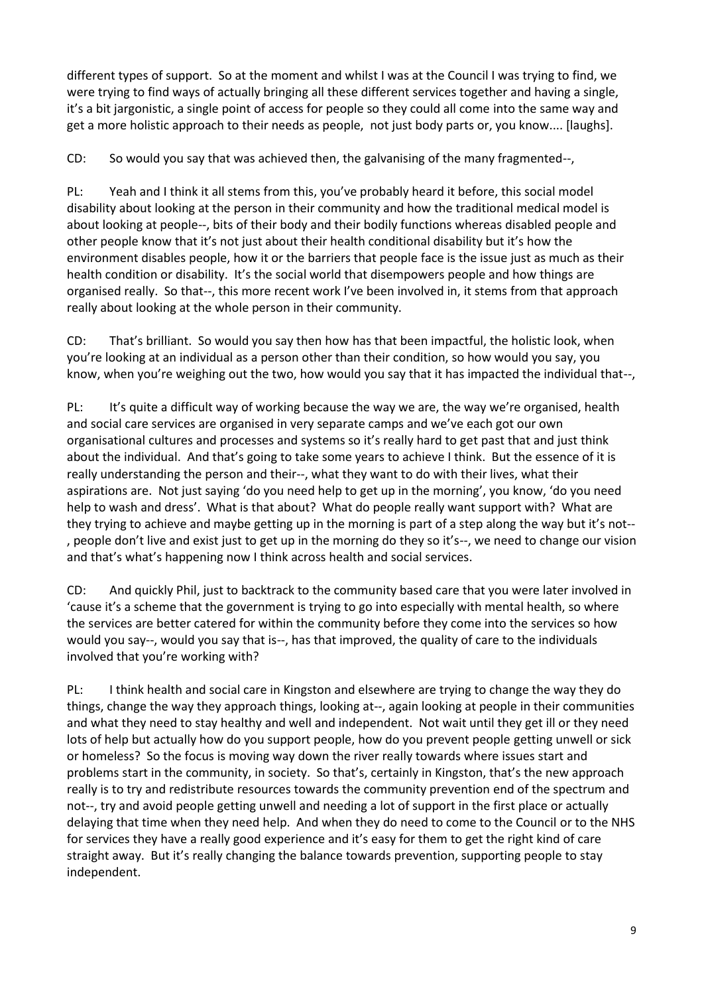different types of support. So at the moment and whilst I was at the Council I was trying to find, we were trying to find ways of actually bringing all these different services together and having a single, it's a bit jargonistic, a single point of access for people so they could all come into the same way and get a more holistic approach to their needs as people, not just body parts or, you know.... [laughs].

CD: So would you say that was achieved then, the galvanising of the many fragmented--,

PL: Yeah and I think it all stems from this, you've probably heard it before, this social model disability about looking at the person in their community and how the traditional medical model is about looking at people--, bits of their body and their bodily functions whereas disabled people and other people know that it's not just about their health conditional disability but it's how the environment disables people, how it or the barriers that people face is the issue just as much as their health condition or disability. It's the social world that disempowers people and how things are organised really. So that--, this more recent work I've been involved in, it stems from that approach really about looking at the whole person in their community.

CD: That's brilliant. So would you say then how has that been impactful, the holistic look, when you're looking at an individual as a person other than their condition, so how would you say, you know, when you're weighing out the two, how would you say that it has impacted the individual that--,

PL: It's quite a difficult way of working because the way we are, the way we're organised, health and social care services are organised in very separate camps and we've each got our own organisational cultures and processes and systems so it's really hard to get past that and just think about the individual. And that's going to take some years to achieve I think. But the essence of it is really understanding the person and their--, what they want to do with their lives, what their aspirations are. Not just saying 'do you need help to get up in the morning', you know, 'do you need help to wash and dress'. What is that about? What do people really want support with? What are they trying to achieve and maybe getting up in the morning is part of a step along the way but it's not-- , people don't live and exist just to get up in the morning do they so it's--, we need to change our vision and that's what's happening now I think across health and social services.

CD: And quickly Phil, just to backtrack to the community based care that you were later involved in 'cause it's a scheme that the government is trying to go into especially with mental health, so where the services are better catered for within the community before they come into the services so how would you say--, would you say that is--, has that improved, the quality of care to the individuals involved that you're working with?

PL: I think health and social care in Kingston and elsewhere are trying to change the way they do things, change the way they approach things, looking at--, again looking at people in their communities and what they need to stay healthy and well and independent. Not wait until they get ill or they need lots of help but actually how do you support people, how do you prevent people getting unwell or sick or homeless? So the focus is moving way down the river really towards where issues start and problems start in the community, in society. So that's, certainly in Kingston, that's the new approach really is to try and redistribute resources towards the community prevention end of the spectrum and not--, try and avoid people getting unwell and needing a lot of support in the first place or actually delaying that time when they need help. And when they do need to come to the Council or to the NHS for services they have a really good experience and it's easy for them to get the right kind of care straight away. But it's really changing the balance towards prevention, supporting people to stay independent.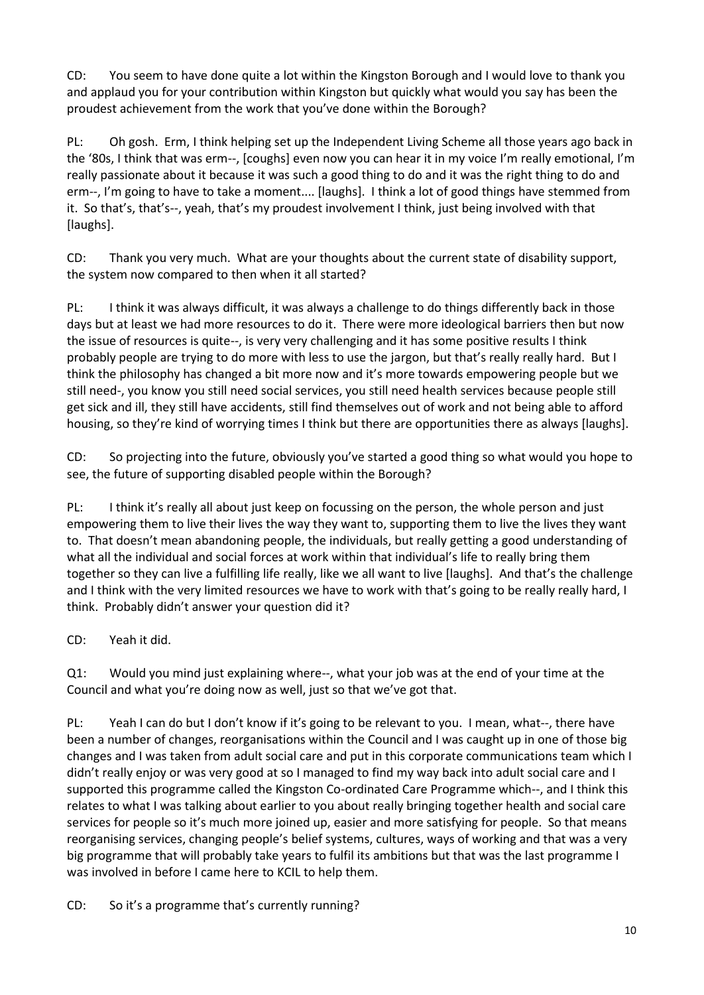CD: You seem to have done quite a lot within the Kingston Borough and I would love to thank you and applaud you for your contribution within Kingston but quickly what would you say has been the proudest achievement from the work that you've done within the Borough?

PL: Oh gosh. Erm, I think helping set up the Independent Living Scheme all those years ago back in the '80s, I think that was erm--, [coughs] even now you can hear it in my voice I'm really emotional, I'm really passionate about it because it was such a good thing to do and it was the right thing to do and erm--, I'm going to have to take a moment.... [laughs]. I think a lot of good things have stemmed from it. So that's, that's--, yeah, that's my proudest involvement I think, just being involved with that [laughs].

CD: Thank you very much. What are your thoughts about the current state of disability support, the system now compared to then when it all started?

PL: I think it was always difficult, it was always a challenge to do things differently back in those days but at least we had more resources to do it. There were more ideological barriers then but now the issue of resources is quite--, is very very challenging and it has some positive results I think probably people are trying to do more with less to use the jargon, but that's really really hard. But I think the philosophy has changed a bit more now and it's more towards empowering people but we still need-, you know you still need social services, you still need health services because people still get sick and ill, they still have accidents, still find themselves out of work and not being able to afford housing, so they're kind of worrying times I think but there are opportunities there as always [laughs].

CD: So projecting into the future, obviously you've started a good thing so what would you hope to see, the future of supporting disabled people within the Borough?

PL: I think it's really all about just keep on focussing on the person, the whole person and just empowering them to live their lives the way they want to, supporting them to live the lives they want to. That doesn't mean abandoning people, the individuals, but really getting a good understanding of what all the individual and social forces at work within that individual's life to really bring them together so they can live a fulfilling life really, like we all want to live [laughs]. And that's the challenge and I think with the very limited resources we have to work with that's going to be really really hard, I think. Probably didn't answer your question did it?

CD: Yeah it did.

Q1: Would you mind just explaining where--, what your job was at the end of your time at the Council and what you're doing now as well, just so that we've got that.

PL: Yeah I can do but I don't know if it's going to be relevant to you. I mean, what--, there have been a number of changes, reorganisations within the Council and I was caught up in one of those big changes and I was taken from adult social care and put in this corporate communications team which I didn't really enjoy or was very good at so I managed to find my way back into adult social care and I supported this programme called the Kingston Co-ordinated Care Programme which--, and I think this relates to what I was talking about earlier to you about really bringing together health and social care services for people so it's much more joined up, easier and more satisfying for people. So that means reorganising services, changing people's belief systems, cultures, ways of working and that was a very big programme that will probably take years to fulfil its ambitions but that was the last programme I was involved in before I came here to KCIL to help them.

CD: So it's a programme that's currently running?